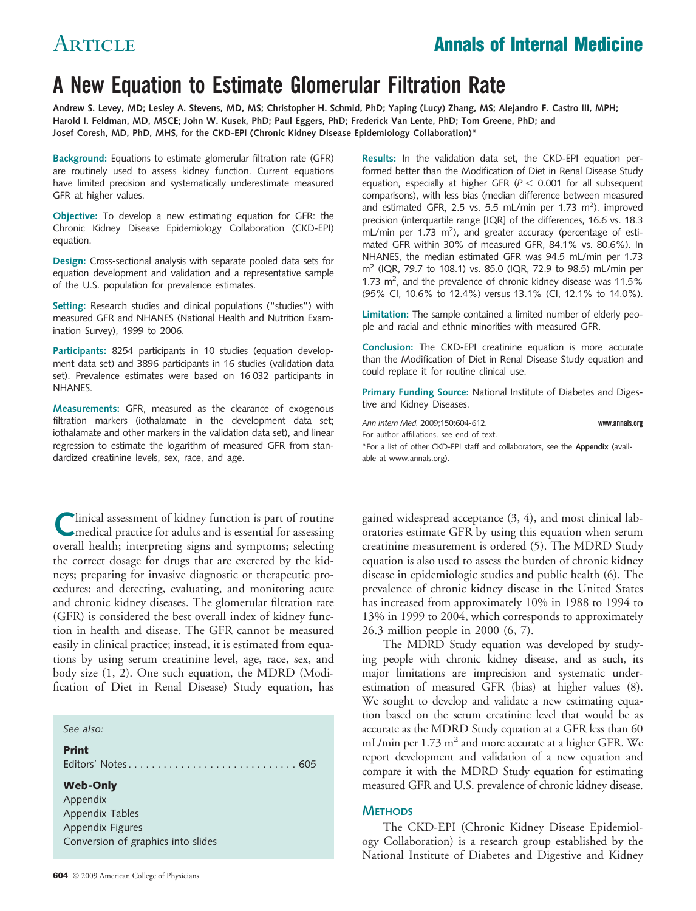## Article **Annals of Internal Medicine**

# **A New Equation to Estimate Glomerular Filtration Rate**

**Andrew S. Levey, MD; Lesley A. Stevens, MD, MS; Christopher H. Schmid, PhD; Yaping (Lucy) Zhang, MS; Alejandro F. Castro III, MPH; Harold I. Feldman, MD, MSCE; John W. Kusek, PhD; Paul Eggers, PhD; Frederick Van Lente, PhD; Tom Greene, PhD; and Josef Coresh, MD, PhD, MHS, for the CKD-EPI (Chronic Kidney Disease Epidemiology Collaboration)\***

**Background:** Equations to estimate glomerular filtration rate (GFR) are routinely used to assess kidney function. Current equations have limited precision and systematically underestimate measured GFR at higher values.

**Objective:** To develop a new estimating equation for GFR: the Chronic Kidney Disease Epidemiology Collaboration (CKD-EPI) equation.

**Design:** Cross-sectional analysis with separate pooled data sets for equation development and validation and a representative sample of the U.S. population for prevalence estimates.

**Setting:** Research studies and clinical populations ("studies") with measured GFR and NHANES (National Health and Nutrition Examination Survey), 1999 to 2006.

**Participants:** 8254 participants in 10 studies (equation development data set) and 3896 participants in 16 studies (validation data set). Prevalence estimates were based on 16 032 participants in NHANES.

**Measurements:** GFR, measured as the clearance of exogenous filtration markers (iothalamate in the development data set; iothalamate and other markers in the validation data set), and linear regression to estimate the logarithm of measured GFR from standardized creatinine levels, sex, race, and age.

Clinical assessment of kidney function is part of routine<br>medical practice for adults and is essential for assessing overall health; interpreting signs and symptoms; selecting the correct dosage for drugs that are excreted by the kidneys; preparing for invasive diagnostic or therapeutic procedures; and detecting, evaluating, and monitoring acute and chronic kidney diseases. The glomerular filtration rate (GFR) is considered the best overall index of kidney function in health and disease. The GFR cannot be measured easily in clinical practice; instead, it is estimated from equations by using serum creatinine level, age, race, sex, and body size (1, 2). One such equation, the MDRD (Modification of Diet in Renal Disease) Study equation, has

#### *See also:*

#### **Print**

Editors' Notes. . . . . . . . . . . . . . . . . . . . . . . . . . . . . 605

#### **Web-Only**

Appendix Appendix Tables Appendix Figures Conversion of graphics into slides **Results:** In the validation data set, the CKD-EPI equation performed better than the Modification of Diet in Renal Disease Study equation, especially at higher GFR ( $P < 0.001$  for all subsequent comparisons), with less bias (median difference between measured and estimated GFR, 2.5 vs. 5.5 mL/min per 1.73 m<sup>2</sup>), improved precision (interquartile range [IQR] of the differences, 16.6 vs. 18.3  $mL/min$  per 1.73 m<sup>2</sup>), and greater accuracy (percentage of estimated GFR within 30% of measured GFR, 84.1% vs. 80.6%). In NHANES, the median estimated GFR was 94.5 mL/min per 1.73 m2 (IQR, 79.7 to 108.1) vs. 85.0 (IQR, 72.9 to 98.5) mL/min per 1.73  $m^2$ , and the prevalence of chronic kidney disease was 11.5% (95% CI, 10.6% to 12.4%) versus 13.1% (CI, 12.1% to 14.0%).

**Limitation:** The sample contained a limited number of elderly people and racial and ethnic minorities with measured GFR.

**Conclusion:** The CKD-EPI creatinine equation is more accurate than the Modification of Diet in Renal Disease Study equation and could replace it for routine clinical use.

**Primary Funding Source:** National Institute of Diabetes and Digestive and Kidney Diseases.

*Ann Intern Med.* 2009;150:604-612. **www.annals.org** For author affiliations, see end of text. \*For a list of other CKD-EPI staff and collaborators, see the **Appendix** (available at www.annals.org).

gained widespread acceptance (3, 4), and most clinical laboratories estimate GFR by using this equation when serum creatinine measurement is ordered (5). The MDRD Study equation is also used to assess the burden of chronic kidney disease in epidemiologic studies and public health (6). The prevalence of chronic kidney disease in the United States has increased from approximately 10% in 1988 to 1994 to 13% in 1999 to 2004, which corresponds to approximately 26.3 million people in 2000 (6, 7).

The MDRD Study equation was developed by studying people with chronic kidney disease, and as such, its major limitations are imprecision and systematic underestimation of measured GFR (bias) at higher values (8). We sought to develop and validate a new estimating equation based on the serum creatinine level that would be as accurate as the MDRD Study equation at a GFR less than 60 mL/min per  $1.73 \text{ m}^2$  and more accurate at a higher GFR. We report development and validation of a new equation and compare it with the MDRD Study equation for estimating measured GFR and U.S. prevalence of chronic kidney disease.

#### **METHODS**

The CKD-EPI (Chronic Kidney Disease Epidemiology Collaboration) is a research group established by the National Institute of Diabetes and Digestive and Kidney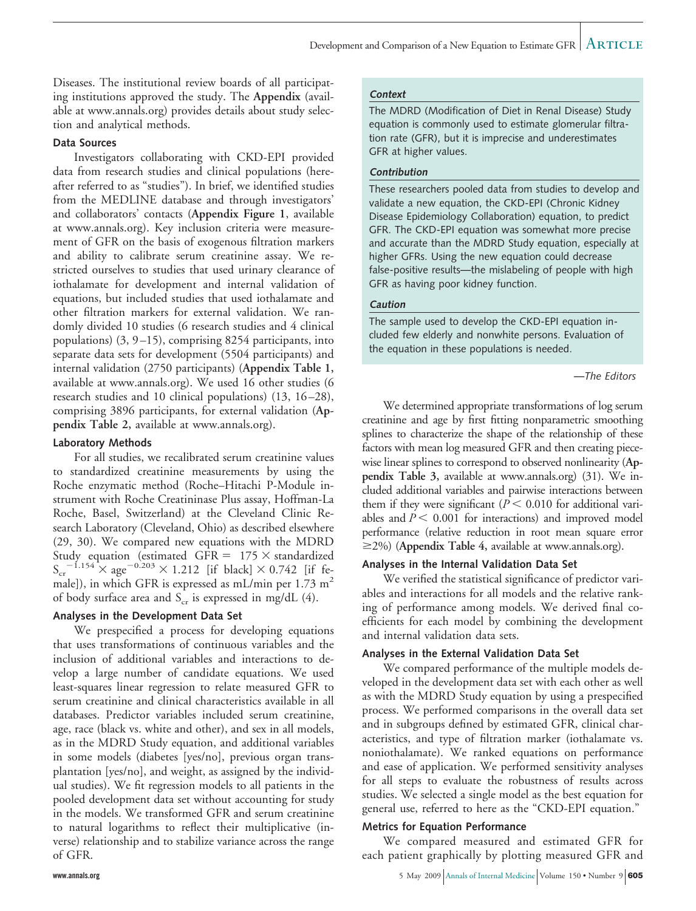Diseases. The institutional review boards of all participating institutions approved the study. The **Appendix** (available at www.annals.org) provides details about study selection and analytical methods.

#### **Data Sources**

Investigators collaborating with CKD-EPI provided data from research studies and clinical populations (hereafter referred to as "studies"). In brief, we identified studies from the MEDLINE database and through investigators' and collaborators' contacts (**Appendix Figure 1**, available at www.annals.org). Key inclusion criteria were measurement of GFR on the basis of exogenous filtration markers and ability to calibrate serum creatinine assay. We restricted ourselves to studies that used urinary clearance of iothalamate for development and internal validation of equations, but included studies that used iothalamate and other filtration markers for external validation. We randomly divided 10 studies (6 research studies and 4 clinical populations) (3, 9 –15), comprising 8254 participants, into separate data sets for development (5504 participants) and internal validation (2750 participants) (**Appendix Table 1,** available at www.annals.org). We used 16 other studies (6 research studies and 10 clinical populations) (13, 16 –28), comprising 3896 participants, for external validation (**Appendix Table 2,** available at www.annals.org).

#### **Laboratory Methods**

For all studies, we recalibrated serum creatinine values to standardized creatinine measurements by using the Roche enzymatic method (Roche–Hitachi P-Module instrument with Roche Creatininase Plus assay, Hoffman-La Roche, Basel, Switzerland) at the Cleveland Clinic Research Laboratory (Cleveland, Ohio) as described elsewhere (29, 30). We compared new equations with the MDRD Study equation (estimated GFR =  $175 \times$  standardized  $S_{\rm cr}$ <sup>-1.154</sup>  $\times$  age<sup>-0.203</sup>  $\times$  1.212 [if black]  $\times$  0.742 [if female]), in which GFR is expressed as mL/min per  $1.73 \text{ m}^2$ of body surface area and  $S_{cr}$  is expressed in mg/dL (4).

#### **Analyses in the Development Data Set**

We prespecified a process for developing equations that uses transformations of continuous variables and the inclusion of additional variables and interactions to develop a large number of candidate equations. We used least-squares linear regression to relate measured GFR to serum creatinine and clinical characteristics available in all databases. Predictor variables included serum creatinine, age, race (black vs. white and other), and sex in all models, as in the MDRD Study equation, and additional variables in some models (diabetes [yes/no], previous organ transplantation [yes/no], and weight, as assigned by the individual studies). We fit regression models to all patients in the pooled development data set without accounting for study in the models. We transformed GFR and serum creatinine to natural logarithms to reflect their multiplicative (inverse) relationship and to stabilize variance across the range of GFR.

#### **Context**

The MDRD (Modification of Diet in Renal Disease) Study equation is commonly used to estimate glomerular filtration rate (GFR), but it is imprecise and underestimates GFR at higher values.

#### **Contribution**

These researchers pooled data from studies to develop and validate a new equation, the CKD-EPI (Chronic Kidney Disease Epidemiology Collaboration) equation, to predict GFR. The CKD-EPI equation was somewhat more precise and accurate than the MDRD Study equation, especially at higher GFRs. Using the new equation could decrease false-positive results—the mislabeling of people with high GFR as having poor kidney function.

#### **Caution**

The sample used to develop the CKD-EPI equation included few elderly and nonwhite persons. Evaluation of the equation in these populations is needed.

#### *—The Editors*

We determined appropriate transformations of log serum creatinine and age by first fitting nonparametric smoothing splines to characterize the shape of the relationship of these factors with mean log measured GFR and then creating piecewise linear splines to correspond to observed nonlinearity (**Appendix Table 3,** available at www.annals.org) (31). We included additional variables and pairwise interactions between them if they were significant  $(P < 0.010$  for additional variables and  $P \leq 0.001$  for interactions) and improved model performance (relative reduction in root mean square error 2%) (**Appendix Table 4,** available at www.annals.org).

#### **Analyses in the Internal Validation Data Set**

We verified the statistical significance of predictor variables and interactions for all models and the relative ranking of performance among models. We derived final coefficients for each model by combining the development and internal validation data sets.

#### **Analyses in the External Validation Data Set**

We compared performance of the multiple models developed in the development data set with each other as well as with the MDRD Study equation by using a prespecified process. We performed comparisons in the overall data set and in subgroups defined by estimated GFR, clinical characteristics, and type of filtration marker (iothalamate vs. noniothalamate). We ranked equations on performance and ease of application. We performed sensitivity analyses for all steps to evaluate the robustness of results across studies. We selected a single model as the best equation for general use, referred to here as the "CKD-EPI equation."

#### **Metrics for Equation Performance**

We compared measured and estimated GFR for each patient graphically by plotting measured GFR and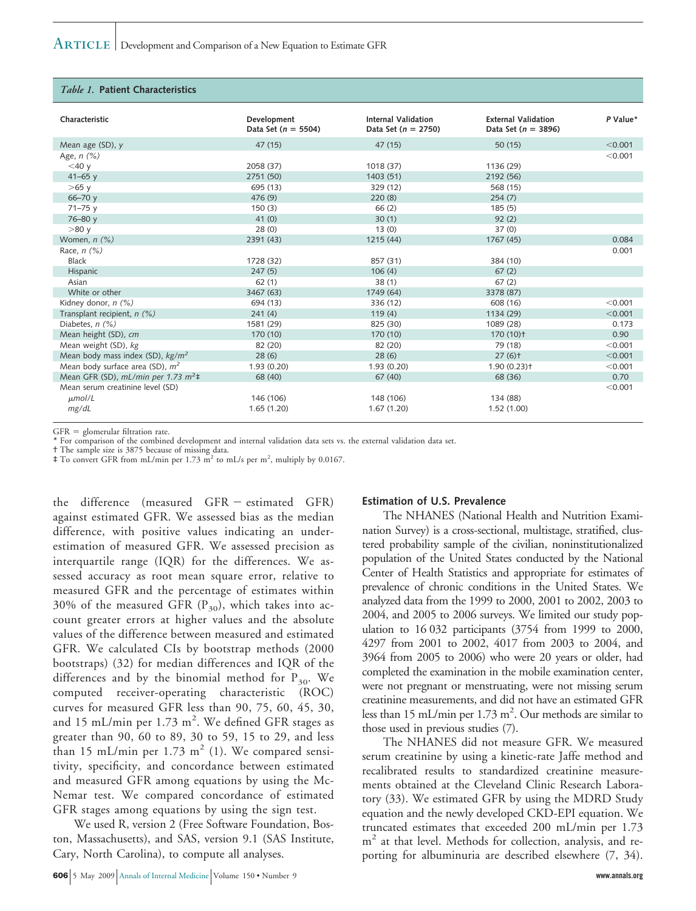#### *Table 1.* **Patient Characteristics**

| Characteristic                         | Development           | Internal Validation     | <b>External Validation</b> | P Value* |
|----------------------------------------|-----------------------|-------------------------|----------------------------|----------|
|                                        | Data Set $(n = 5504)$ | Data Set ( $n = 2750$ ) | Data Set $(n = 3896)$      |          |
| Mean age (SD), y                       | 47 (15)               | 47 (15)                 | 50(15)                     | < 0.001  |
| Age, $n$ $(\%)$                        |                       |                         |                            | < 0.001  |
| $<$ 40 $y$                             | 2058 (37)             | 1018 (37)               | 1136 (29)                  |          |
| $41 - 65$ y                            | 2751 (50)             | 1403 (51)               | 2192 (56)                  |          |
| $>65$ y                                | 695 (13)              | 329 (12)                | 568 (15)                   |          |
| $66 - 70y$                             | 476(9)                | 220(8)                  | 254(7)                     |          |
| $71 - 75y$                             | 150(3)                | 66(2)                   | 185(5)                     |          |
| $76 - 80y$                             | 41(0)                 | 30(1)                   | 92(2)                      |          |
| >80y                                   | 28(0)                 | 13(0)                   | 37(0)                      |          |
| Women, $n$ $(\%)$                      | 2391 (43)             | 1215 (44)               | 1767 (45)                  | 0.084    |
| Race, $n$ $(\%)$                       |                       |                         |                            | 0.001    |
| <b>Black</b>                           | 1728 (32)             | 857 (31)                | 384 (10)                   |          |
| Hispanic                               | 247(5)                | 106(4)                  | 67(2)                      |          |
| Asian                                  | 62(1)                 | 38(1)                   | 67(2)                      |          |
| White or other                         | 3467 (63)             | 1749 (64)               | 3378 (87)                  |          |
| Kidney donor, n (%)                    | 694 (13)              | 336 (12)                | 608 (16)                   | < 0.001  |
| Transplant recipient, $n$ (%)          | 241(4)                | 119(4)                  | 1134 (29)                  | < 0.001  |
| Diabetes, $n$ $(\%)$                   | 1581 (29)             | 825 (30)                | 1089 (28)                  | 0.173    |
| Mean height (SD), cm                   | 170 (10)              | 170(10)                 | $170(10)$ <sup>+</sup>     | 0.90     |
| Mean weight (SD), kg                   | 82 (20)               | 82 (20)                 | 79 (18)                    | < 0.001  |
| Mean body mass index (SD), $kg/m^2$    | 28(6)                 | 28(6)                   | $27(6)$ <sup>+</sup>       | < 0.001  |
| Mean body surface area (SD), $m^2$     | 1.93(0.20)            | 1.93(0.20)              | 1.90(0.23)                 | < 0.001  |
| Mean GFR (SD), mL/min per 1.73 $m^2$ ‡ | 68 (40)               | 67(40)                  | 68 (36)                    | 0.70     |
| Mean serum creatinine level (SD)       |                       |                         |                            | < 0.001  |
| $\mu$ mol/L                            | 146 (106)             | 148 (106)               | 134 (88)                   |          |
| mg/dL                                  | 1.65(1.20)            | 1.67(1.20)              | 1.52(1.00)                 |          |

 $GFR =$  glomerular filtration rate.

\* For comparison of the combined development and internal validation data sets vs. the external validation data set.

† The sample size is 3875 because of missing data.

 $\ddagger$  To convert GFR from mL/min per 1.73 m<sup>2</sup> to mL/s per m<sup>2</sup>, multiply by 0.0167.

the difference (measured GFR estimated GFR) against estimated GFR. We assessed bias as the median difference, with positive values indicating an underestimation of measured GFR. We assessed precision as interquartile range (IQR) for the differences. We assessed accuracy as root mean square error, relative to measured GFR and the percentage of estimates within 30% of the measured GFR  $(P_{30})$ , which takes into account greater errors at higher values and the absolute values of the difference between measured and estimated GFR. We calculated CIs by bootstrap methods (2000 bootstraps) (32) for median differences and IQR of the differences and by the binomial method for  $P_{30}$ . We computed receiver-operating characteristic (ROC) curves for measured GFR less than 90, 75, 60, 45, 30, and 15 mL/min per  $1.73 \text{ m}^2$ . We defined GFR stages as greater than 90, 60 to 89, 30 to 59, 15 to 29, and less than 15 mL/min per 1.73 m<sup>2</sup> (1). We compared sensitivity, specificity, and concordance between estimated and measured GFR among equations by using the Mc-Nemar test. We compared concordance of estimated GFR stages among equations by using the sign test.

We used R, version 2 (Free Software Foundation, Boston, Massachusetts), and SAS, version 9.1 (SAS Institute, Cary, North Carolina), to compute all analyses.

**Estimation of U.S. Prevalence**

The NHANES (National Health and Nutrition Examination Survey) is a cross-sectional, multistage, stratified, clustered probability sample of the civilian, noninstitutionalized population of the United States conducted by the National Center of Health Statistics and appropriate for estimates of prevalence of chronic conditions in the United States. We analyzed data from the 1999 to 2000, 2001 to 2002, 2003 to 2004, and 2005 to 2006 surveys. We limited our study population to 16 032 participants (3754 from 1999 to 2000, 4297 from 2001 to 2002, 4017 from 2003 to 2004, and 3964 from 2005 to 2006) who were 20 years or older, had completed the examination in the mobile examination center, were not pregnant or menstruating, were not missing serum creatinine measurements, and did not have an estimated GFR less than 15 mL/min per  $1.73 \text{ m}^2$ . Our methods are similar to those used in previous studies (7).

The NHANES did not measure GFR. We measured serum creatinine by using a kinetic-rate Jaffe method and recalibrated results to standardized creatinine measurements obtained at the Cleveland Clinic Research Laboratory (33). We estimated GFR by using the MDRD Study equation and the newly developed CKD-EPI equation. We truncated estimates that exceeded 200 mL/min per 1.73  $m<sup>2</sup>$  at that level. Methods for collection, analysis, and reporting for albuminuria are described elsewhere (7, 34).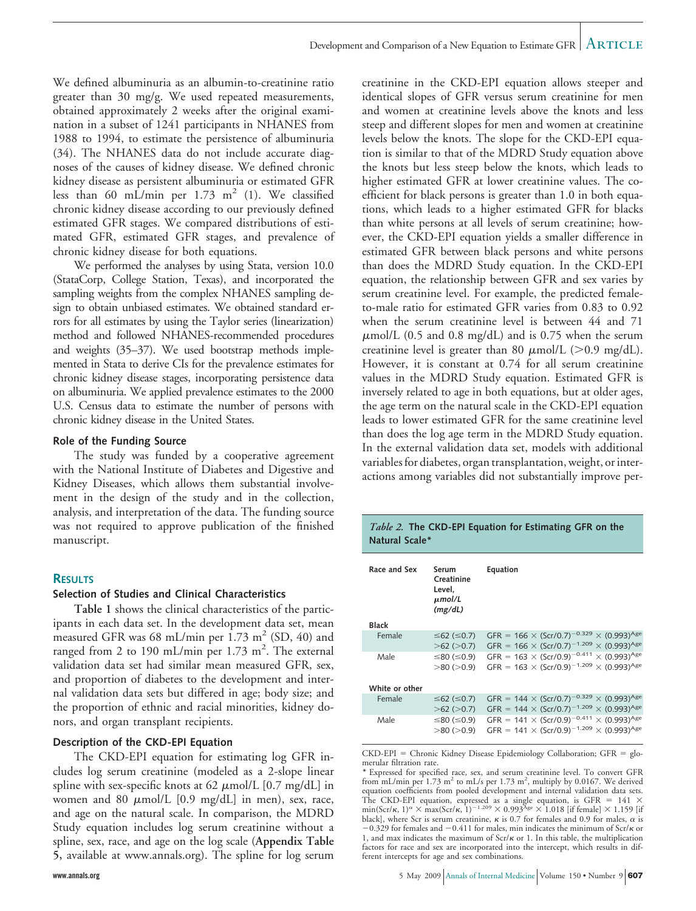We defined albuminuria as an albumin-to-creatinine ratio greater than 30 mg/g. We used repeated measurements, obtained approximately 2 weeks after the original examination in a subset of 1241 participants in NHANES from 1988 to 1994, to estimate the persistence of albuminuria (34). The NHANES data do not include accurate diagnoses of the causes of kidney disease. We defined chronic kidney disease as persistent albuminuria or estimated GFR less than 60 mL/min per  $1.73$  m<sup>2</sup> (1). We classified chronic kidney disease according to our previously defined estimated GFR stages. We compared distributions of estimated GFR, estimated GFR stages, and prevalence of chronic kidney disease for both equations.

We performed the analyses by using Stata, version 10.0 (StataCorp, College Station, Texas), and incorporated the sampling weights from the complex NHANES sampling design to obtain unbiased estimates. We obtained standard errors for all estimates by using the Taylor series (linearization) method and followed NHANES-recommended procedures and weights (35–37). We used bootstrap methods implemented in Stata to derive CIs for the prevalence estimates for chronic kidney disease stages, incorporating persistence data on albuminuria. We applied prevalence estimates to the 2000 U.S. Census data to estimate the number of persons with chronic kidney disease in the United States.

#### **Role of the Funding Source**

The study was funded by a cooperative agreement with the National Institute of Diabetes and Digestive and Kidney Diseases, which allows them substantial involvement in the design of the study and in the collection, analysis, and interpretation of the data. The funding source was not required to approve publication of the finished manuscript.

#### **RESULTS**

#### **Selection of Studies and Clinical Characteristics**

**Table 1** shows the clinical characteristics of the participants in each data set. In the development data set, mean measured GFR was 68 mL/min per  $1.73 \text{ m}^2$  (SD, 40) and ranged from 2 to 190 mL/min per 1.73 m<sup>2</sup>. The external validation data set had similar mean measured GFR, sex, and proportion of diabetes to the development and internal validation data sets but differed in age; body size; and the proportion of ethnic and racial minorities, kidney donors, and organ transplant recipients.

#### **Description of the CKD-EPI Equation**

The CKD-EPI equation for estimating log GFR includes log serum creatinine (modeled as a 2-slope linear spline with sex-specific knots at 62  $\mu$ mol/L [0.7 mg/dL] in women and 80  $\mu$ mol/L [0.9 mg/dL] in men), sex, race, and age on the natural scale. In comparison, the MDRD Study equation includes log serum creatinine without a spline, sex, race, and age on the log scale (**Appendix Table 5,** available at www.annals.org). The spline for log serum

creatinine in the CKD-EPI equation allows steeper and identical slopes of GFR versus serum creatinine for men and women at creatinine levels above the knots and less steep and different slopes for men and women at creatinine levels below the knots. The slope for the CKD-EPI equation is similar to that of the MDRD Study equation above the knots but less steep below the knots, which leads to higher estimated GFR at lower creatinine values. The coefficient for black persons is greater than 1.0 in both equations, which leads to a higher estimated GFR for blacks than white persons at all levels of serum creatinine; however, the CKD-EPI equation yields a smaller difference in estimated GFR between black persons and white persons than does the MDRD Study equation. In the CKD-EPI equation, the relationship between GFR and sex varies by serum creatinine level. For example, the predicted femaleto-male ratio for estimated GFR varies from 0.83 to 0.92 when the serum creatinine level is between 44 and 71  $\mu$ mol/L (0.5 and 0.8 mg/dL) and is 0.75 when the serum creatinine level is greater than 80  $\mu$ mol/L (>0.9 mg/dL). However, it is constant at 0.74 for all serum creatinine values in the MDRD Study equation. Estimated GFR is inversely related to age in both equations, but at older ages, the age term on the natural scale in the CKD-EPI equation leads to lower estimated GFR for the same creatinine level than does the log age term in the MDRD Study equation. In the external validation data set, models with additional variables for diabetes, organ transplantation, weight, or interactions among variables did not substantially improve per-

#### *Table 2.* **The CKD-EPI Equation for Estimating GFR on the Natural Scale\***

| Race and Sex   | Serum<br>Creatinine<br>Level.<br>$\mu$ mol/L<br>(mg/dL) | Equation                                                                                                                                                                    |
|----------------|---------------------------------------------------------|-----------------------------------------------------------------------------------------------------------------------------------------------------------------------------|
| <b>Black</b>   |                                                         |                                                                                                                                                                             |
| Female         | $≤62$ (≤0.7)<br>>62 (>0.7)                              | GFR = $166 \times (Scr/0.7)^{-0.329} \times (0.993)^{Age}$<br>GFR = $166 \times (Scr/0.7)^{-1.209} \times (0.993)^{Age}$                                                    |
| Male           | >80 (>0.9)                                              | ≤80 (≤0.9) GFR = 163 $\times$ (Scr/0.9) <sup>-0.411</sup> $\times$ (0.993) <sup>Age</sup><br>GFR = $163 \times (Scr/0.9)^{-1.209} \times (0.993)^{Age}$                     |
| White or other |                                                         |                                                                                                                                                                             |
| <b>Female</b>  | $≤62$ (≤0.7)<br>>62 (>0.7)                              | GFR = 144 $\times$ (Scr/0.7) <sup>-0.329</sup> $\times$ (0.993) <sup>Age</sup><br>GFR = $144 \times (Scr/0.7)^{-1.209} \times (0.993)^{Age}$                                |
| Male           | $>$ 80 ( $>$ 0.9)                                       | ≤80 (≤0.9) GFR = 141 $\times$ (Scr/0.9) <sup>-0.411</sup> $\times$ (0.993) <sup>Age</sup><br>GFR = 141 $\times$ (Scr/0.9) <sup>-1.209</sup> $\times$ (0.993) <sup>Age</sup> |

CKD-EPI = Chronic Kidney Disease Epidemiology Collaboration; GFR = glomerular filtration rate.

<sup>\*</sup> Expressed for specified race, sex, and serum creatinine level. To convert GFR from mL/min per  $1.73$  m<sup>2</sup> to mL/s per  $1.73$  m<sup>2</sup>, multiply by 0.0167. We derived equation coefficients from pooled development and internal validation data sets. The CKD-EPI equation, expressed as a single equation, is GFR = 141  $\times$  min(Scr/ $\kappa$ , 1)<sup> $\alpha$ </sup>  $\times$  max(Scr/ $\kappa$ , 1)<sup> $-1.209$ </sup>  $\times$  0.993<sup>Age</sup>  $\times$  1.018 [if female]  $\times$  1.159 [if black], where Scr is serum creatinine,  $\kappa$  is 0.7 for females and 0.9 for males,  $\alpha$  is  $-0.329$  for females and  $-0.411$  for males, min indicates the minimum of Scr/ $\kappa$  or 1, and max indicates the maximum of  $Scr/\kappa$  or 1. In this table, the multiplication factors for race and sex are incorporated into the intercept, which results in different intercepts for age and sex combinations.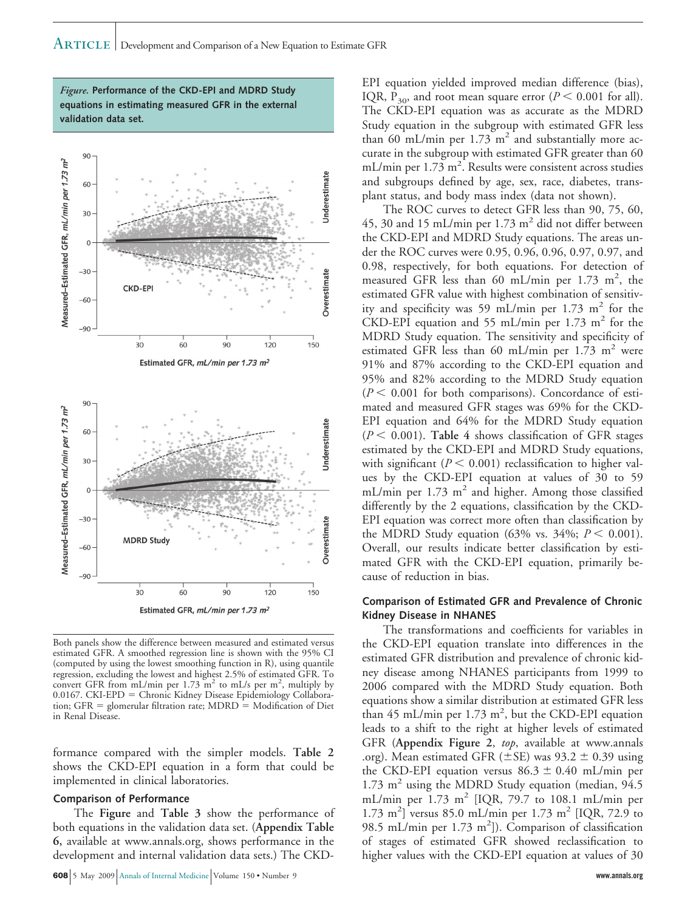*Figure.* **Performance of the CKD-EPI and MDRD Study equations in estimating measured GFR in the external validation data set.**



Both panels show the difference between measured and estimated versus estimated GFR. A smoothed regression line is shown with the 95% CI (computed by using the lowest smoothing function in R), using quantile regression, excluding the lowest and highest 2.5% of estimated GFR. To<br>convert GFR from mL/min per 1.73 m<sup>2</sup> to mL/s per m<sup>2</sup>, multiply by 0.0167. CKI-EPD = Chronic Kidney Disease Epidemiology Collaboration; GFR = glomerular filtration rate; MDRD = Modification of Diet in Renal Disease.

formance compared with the simpler models. **Table 2** shows the CKD-EPI equation in a form that could be implemented in clinical laboratories.

#### **Comparison of Performance**

The **Figure** and **Table 3** show the performance of both equations in the validation data set. (**Appendix Table 6,** available at www.annals.org, shows performance in the development and internal validation data sets.) The CKD-

EPI equation yielded improved median difference (bias), IQR,  $P_{30}$ , and root mean square error ( $P \le 0.001$  for all). The CKD-EPI equation was as accurate as the MDRD Study equation in the subgroup with estimated GFR less than 60 mL/min per  $1.73 \text{ m}^2$  and substantially more accurate in the subgroup with estimated GFR greater than 60 mL/min per 1.73 m<sup>2</sup>. Results were consistent across studies and subgroups defined by age, sex, race, diabetes, transplant status, and body mass index (data not shown).

The ROC curves to detect GFR less than 90, 75, 60, 45, 30 and 15 mL/min per  $1.73 \text{ m}^2$  did not differ between the CKD-EPI and MDRD Study equations. The areas under the ROC curves were 0.95, 0.96, 0.96, 0.97, 0.97, and 0.98, respectively, for both equations. For detection of measured GFR less than 60 mL/min per 1.73 m<sup>2</sup>, the estimated GFR value with highest combination of sensitivity and specificity was 59 mL/min per 1.73 m<sup>2</sup> for the CKD-EPI equation and 55 mL/min per 1.73 m<sup>2</sup> for the MDRD Study equation. The sensitivity and specificity of estimated GFR less than 60 mL/min per  $1.73 \text{ m}^2$  were 91% and 87% according to the CKD-EPI equation and 95% and 82% according to the MDRD Study equation  $(P < 0.001$  for both comparisons). Concordance of estimated and measured GFR stages was 69% for the CKD-EPI equation and 64% for the MDRD Study equation  $(P \leq 0.001)$ . Table 4 shows classification of GFR stages estimated by the CKD-EPI and MDRD Study equations, with significant  $(P < 0.001)$  reclassification to higher values by the CKD-EPI equation at values of 30 to 59 mL/min per  $1.73 \text{ m}^2$  and higher. Among those classified differently by the 2 equations, classification by the CKD-EPI equation was correct more often than classification by the MDRD Study equation (63% vs. 34%;  $P < 0.001$ ). Overall, our results indicate better classification by estimated GFR with the CKD-EPI equation, primarily because of reduction in bias.

#### **Comparison of Estimated GFR and Prevalence of Chronic Kidney Disease in NHANES**

The transformations and coefficients for variables in the CKD-EPI equation translate into differences in the estimated GFR distribution and prevalence of chronic kidney disease among NHANES participants from 1999 to 2006 compared with the MDRD Study equation. Both equations show a similar distribution at estimated GFR less than 45 mL/min per 1.73 m<sup>2</sup>, but the CKD-EPI equation leads to a shift to the right at higher levels of estimated GFR (**Appendix Figure 2**, *top*, available at www.annals .org). Mean estimated GFR ( $\pm$ SE) was 93.2  $\pm$  0.39 using the CKD-EPI equation versus  $86.3 \pm 0.40$  mL/min per  $1.73$  m<sup>2</sup> using the MDRD Study equation (median,  $94.5$ ) mL/min per  $1.73 \text{ m}^2$  [IQR, 79.7 to 108.1 mL/min per 1.73 m<sup>2</sup>] versus 85.0 mL/min per 1.73 m<sup>2</sup> [IQR, 72.9 to 98.5 mL/min per 1.73 m<sup>2</sup>]). Comparison of classification of stages of estimated GFR showed reclassification to higher values with the CKD-EPI equation at values of 30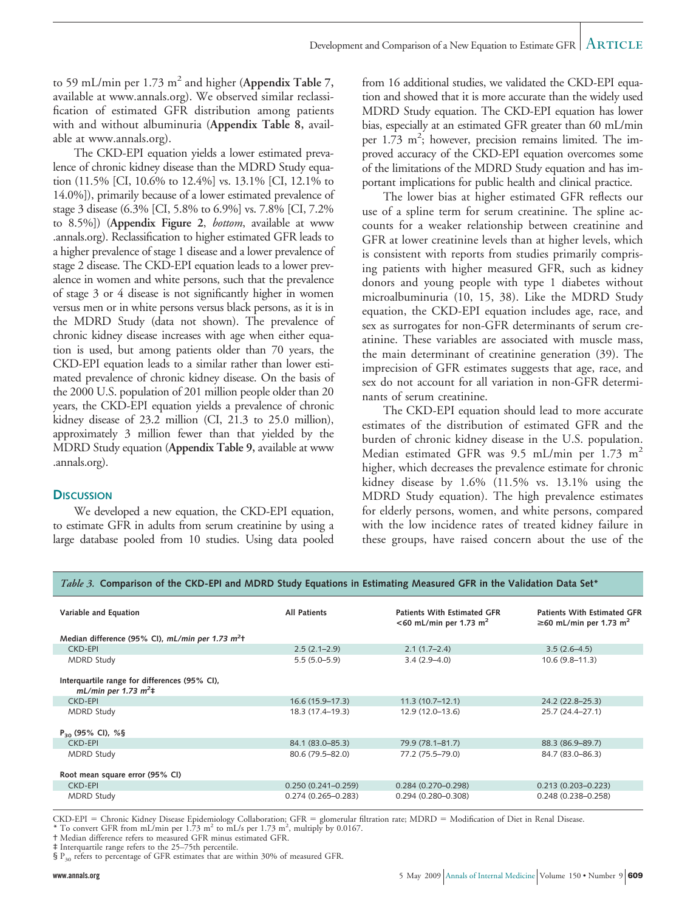to 59 mL/min per  $1.73 \text{ m}^2$  and higher (Appendix Table 7, available at www.annals.org). We observed similar reclassification of estimated GFR distribution among patients with and without albuminuria (**Appendix Table 8,** available at www.annals.org).

The CKD-EPI equation yields a lower estimated prevalence of chronic kidney disease than the MDRD Study equation (11.5% [CI, 10.6% to 12.4%] vs. 13.1% [CI, 12.1% to 14.0%]), primarily because of a lower estimated prevalence of stage 3 disease (6.3% [CI, 5.8% to 6.9%] vs. 7.8% [CI, 7.2% to 8.5%]) (**Appendix Figure 2**, *bottom*, available at www .annals.org). Reclassification to higher estimated GFR leads to a higher prevalence of stage 1 disease and a lower prevalence of stage 2 disease. The CKD-EPI equation leads to a lower prevalence in women and white persons, such that the prevalence of stage 3 or 4 disease is not significantly higher in women versus men or in white persons versus black persons, as it is in the MDRD Study (data not shown). The prevalence of chronic kidney disease increases with age when either equation is used, but among patients older than 70 years, the CKD-EPI equation leads to a similar rather than lower estimated prevalence of chronic kidney disease. On the basis of the 2000 U.S. population of 201 million people older than 20 years, the CKD-EPI equation yields a prevalence of chronic kidney disease of 23.2 million (CI, 21.3 to 25.0 million), approximately 3 million fewer than that yielded by the MDRD Study equation (**Appendix Table 9,** available at www .annals.org).

#### **DISCUSSION**

We developed a new equation, the CKD-EPI equation, to estimate GFR in adults from serum creatinine by using a large database pooled from 10 studies. Using data pooled from 16 additional studies, we validated the CKD-EPI equation and showed that it is more accurate than the widely used MDRD Study equation. The CKD-EPI equation has lower bias, especially at an estimated GFR greater than 60 mL/min per 1.73 m<sup>2</sup>; however, precision remains limited. The improved accuracy of the CKD-EPI equation overcomes some of the limitations of the MDRD Study equation and has important implications for public health and clinical practice.

The lower bias at higher estimated GFR reflects our use of a spline term for serum creatinine. The spline accounts for a weaker relationship between creatinine and GFR at lower creatinine levels than at higher levels, which is consistent with reports from studies primarily comprising patients with higher measured GFR, such as kidney donors and young people with type 1 diabetes without microalbuminuria (10, 15, 38). Like the MDRD Study equation, the CKD-EPI equation includes age, race, and sex as surrogates for non-GFR determinants of serum creatinine. These variables are associated with muscle mass, the main determinant of creatinine generation (39). The imprecision of GFR estimates suggests that age, race, and sex do not account for all variation in non-GFR determinants of serum creatinine.

The CKD-EPI equation should lead to more accurate estimates of the distribution of estimated GFR and the burden of chronic kidney disease in the U.S. population. Median estimated GFR was 9.5 mL/min per 1.73 m<sup>2</sup> higher, which decreases the prevalence estimate for chronic kidney disease by 1.6% (11.5% vs. 13.1% using the MDRD Study equation). The high prevalence estimates for elderly persons, women, and white persons, compared with the low incidence rates of treated kidney failure in these groups, have raised concern about the use of the

| Variable and Equation                                                    | <b>All Patients</b>    | Patients With Estimated GFR<br><60 mL/min per 1.73 m <sup>2</sup> | <b>Patients With Estimated GFR</b><br>$\geq$ 60 mL/min per 1.73 m <sup>2</sup> |
|--------------------------------------------------------------------------|------------------------|-------------------------------------------------------------------|--------------------------------------------------------------------------------|
| Median difference (95% CI), mL/min per 1.73 m <sup>2</sup> t             |                        |                                                                   |                                                                                |
| CKD-EPI                                                                  | $2.5(2.1-2.9)$         | $2.1(1.7-2.4)$                                                    | $3.5(2.6-4.5)$                                                                 |
| <b>MDRD Study</b>                                                        | $5.5(5.0-5.9)$         | $3.4(2.9 - 4.0)$                                                  | $10.6(9.8 - 11.3)$                                                             |
| Interquartile range for differences (95% CI),<br>mL/min per 1.73 $m^2$ ‡ |                        |                                                                   |                                                                                |
| CKD-EPI                                                                  | $16.6(15.9-17.3)$      | $11.3(10.7-12.1)$                                                 | 24.2 (22.8-25.3)                                                               |
| MDRD Study                                                               | 18.3 (17.4–19.3)       | 12.9 (12.0–13.6)                                                  | 25.7 (24.4–27.1)                                                               |
| $P_{30}$ (95% CI), %§                                                    |                        |                                                                   |                                                                                |
| <b>CKD-EPI</b>                                                           | 84.1 (83.0–85.3)       | 79.9 (78.1-81.7)                                                  | 88.3 (86.9-89.7)                                                               |
| <b>MDRD Study</b>                                                        | 80.6 (79.5-82.0)       | 77.2 (75.5-79.0)                                                  | 84.7 (83.0-86.3)                                                               |
| Root mean square error (95% CI)                                          |                        |                                                                   |                                                                                |
| CKD-EPI                                                                  | $0.250(0.241 - 0.259)$ | $0.284(0.270 - 0.298)$                                            | $0.213(0.203 - 0.223)$                                                         |
| <b>MDRD Study</b>                                                        | $0.274(0.265 - 0.283)$ | $0.294(0.280 - 0.308)$                                            | $0.248(0.238 - 0.258)$                                                         |

#### *Table 3.* **Comparison of the CKD-EPI and MDRD Study Equations in Estimating Measured GFR in the Validation Data Set\***

CKD-EPI = Chronic Kidney Disease Epidemiology Collaboration; GFR = glomerular filtration rate; MDRD = Modification of Diet in Renal Disease.

\* To convert GFR from mL/min per  $1.73 \text{ m}^2$  to mL/s per 1.73 m<sup>2</sup>, multiply by 0.0167.

† Median difference refers to measured GFR minus estimated GFR.

‡ Interquartile range refers to the 25–75th percentile.

 $\S P_{30}$  refers to percentage of GFR estimates that are within 30% of measured GFR.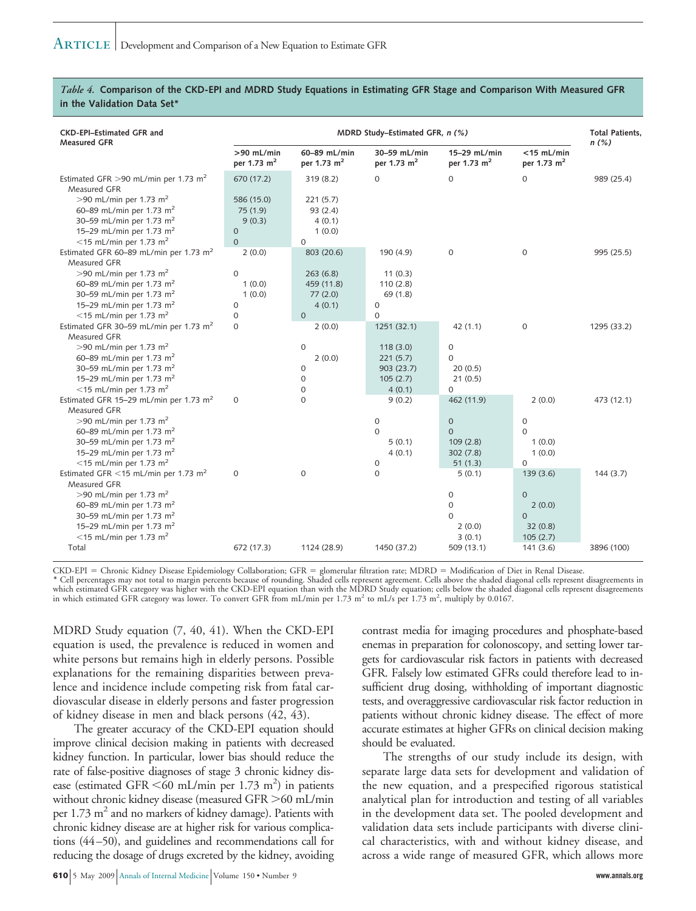#### *Table 4.* **Comparison of the CKD-EPI and MDRD Study Equations in Estimating GFR Stage and Comparison With Measured GFR in the Validation Data Set\***

| <b>CKD-EPI-Estimated GFR and</b><br><b>Measured GFR</b>                                                                                                                                                                                                                   | MDRD Study-Estimated GFR, n (%)             |                                              |                                                          |                                                              | <b>Total Patients.</b><br>$n$ (%)                                 |             |
|---------------------------------------------------------------------------------------------------------------------------------------------------------------------------------------------------------------------------------------------------------------------------|---------------------------------------------|----------------------------------------------|----------------------------------------------------------|--------------------------------------------------------------|-------------------------------------------------------------------|-------------|
|                                                                                                                                                                                                                                                                           | $>90$ mL/min<br>per 1.73 m <sup>2</sup>     | 60-89 mL/min<br>per 1.73 m <sup>2</sup>      | 30-59 mL/min<br>per 1.73 m <sup>2</sup>                  | 15-29 mL/min<br>per 1.73 m <sup>2</sup>                      | $<$ 15 mL/min<br>per 1.73 m <sup>2</sup>                          |             |
| Estimated GFR $>$ 90 mL/min per 1.73 m <sup>2</sup><br>Measured GFR<br>$>90$ mL/min per 1.73 m <sup>2</sup>                                                                                                                                                               | 670 (17.2)<br>586 (15.0)                    | 319 (8.2)<br>221(5.7)                        | $\mathbf 0$                                              | $\mathbf 0$                                                  | $\mathbf 0$                                                       | 989 (25.4)  |
| 60-89 mL/min per 1.73 m <sup>2</sup><br>30-59 mL/min per 1.73 m <sup>2</sup><br>15-29 mL/min per 1.73 m <sup>2</sup>                                                                                                                                                      | 75 (1.9)<br>9(0.3)<br>$\mathbf 0$           | 93 (2.4)<br>4(0.1)<br>1(0.0)                 |                                                          |                                                              |                                                                   |             |
| $<$ 15 mL/min per 1.73 m <sup>2</sup>                                                                                                                                                                                                                                     | $\overline{0}$                              | $\mathbf{O}$                                 |                                                          |                                                              |                                                                   |             |
| Estimated GFR 60-89 mL/min per 1.73 m <sup>2</sup><br>Measured GFR                                                                                                                                                                                                        | 2(0.0)                                      | 803 (20.6)                                   | 190 (4.9)                                                | $\mathbf 0$                                                  | $\mathbf 0$                                                       | 995 (25.5)  |
| $>90$ mL/min per 1.73 m <sup>2</sup><br>60-89 mL/min per 1.73 m <sup>2</sup><br>30-59 mL/min per 1.73 m <sup>2</sup><br>15-29 mL/min per 1.73 m <sup>2</sup>                                                                                                              | $\mathbf 0$<br>1(0.0)<br>1(0.0)<br>$\Omega$ | 263(6.8)<br>459 (11.8)<br>77(2.0)<br>4(0.1)  | 11(0.3)<br>110(2.8)<br>69(1.8)<br>$\mathbf 0$            |                                                              |                                                                   |             |
| $<$ 15 mL/min per 1.73 m <sup>2</sup><br>Estimated GFR 30-59 mL/min per 1.73 m <sup>2</sup><br>Measured GFR                                                                                                                                                               | $\mathbf 0$<br>$\Omega$                     | $\Omega$<br>2(0.0)                           | $\mathbf 0$<br>1251 (32.1)                               | 42(1.1)                                                      | $\mathbf 0$                                                       | 1295 (33.2) |
| >90 mL/min per 1.73 m <sup>2</sup><br>60-89 mL/min per 1.73 m <sup>2</sup><br>30-59 mL/min per 1.73 m <sup>2</sup><br>15-29 mL/min per 1.73 m <sup>2</sup><br>$<$ 15 mL/min per 1.73 m <sup>2</sup>                                                                       |                                             | $\mathbf{O}$<br>2(0.0)<br>0<br>0<br>$\Omega$ | 118(3.0)<br>221(5.7)<br>903 (23.7)<br>105(2.7)<br>4(0.1) | $\mathbf 0$<br>$\mathbf 0$<br>20(0.5)<br>21(0.5)<br>$\Omega$ |                                                                   |             |
| Estimated GFR 15-29 mL/min per 1.73 m <sup>2</sup><br>Measured GFR                                                                                                                                                                                                        | $\mathbf 0$                                 | $\Omega$                                     | 9(0.2)                                                   | 462 (11.9)                                                   | 2(0.0)                                                            | 473 (12.1)  |
| >90 mL/min per 1.73 m <sup>2</sup><br>60-89 mL/min per 1.73 m <sup>2</sup><br>30–59 mL/min per 1.73 m <sup>2</sup><br>15-29 mL/min per 1.73 m <sup>2</sup><br>$<$ 15 mL/min per 1.73 m <sup>2</sup>                                                                       |                                             |                                              | $\mathbf 0$<br>$\Omega$<br>5(0.1)<br>4(0.1)<br>0         | $\mathbf 0$<br>$\Omega$<br>109(2.8)<br>302(7.8)<br>51(1.3)   | $\mathbf 0$<br>$\Omega$<br>1(0.0)<br>1(0.0)<br>$\Omega$           |             |
| Estimated GFR <15 mL/min per 1.73 m <sup>2</sup><br>Measured GFR<br>$>90$ mL/min per 1.73 m <sup>2</sup><br>60-89 mL/min per 1.73 m <sup>2</sup><br>30-59 mL/min per 1.73 m <sup>2</sup><br>15-29 mL/min per 1.73 m <sup>2</sup><br>$<$ 15 mL/min per 1.73 m <sup>2</sup> | $\Omega$                                    | $\Omega$                                     | $\Omega$                                                 | 5(0.1)<br>0<br>$\mathbf 0$<br>$\Omega$<br>2(0.0)<br>3(0.1)   | 139(3.6)<br>$\Omega$<br>2(0.0)<br>$\Omega$<br>32(0.8)<br>105(2.7) | 144(3.7)    |
| Total                                                                                                                                                                                                                                                                     | 672 (17.3)                                  | 1124 (28.9)                                  | 1450 (37.2)                                              | 509 (13.1)                                                   | 141(3.6)                                                          | 3896 (100)  |

CKD-EPI = Chronic Kidney Disease Epidemiology Collaboration; GFR = glomerular filtration rate; MDRD = Modification of Diet in Renal Disease.

\* Cell percentages may not total to margin percents because of rounding. Shaded cells represent agreement. Cells above the shaded diagonal cells represent disagreements in which estimated GFR category was higher with the CKD-EPI equation than with the MDRD Study equation; cells below the shaded diagonal cells represent disagreements<br>in which estimated GFR category was lower. To convert GFR f

MDRD Study equation (7, 40, 41). When the CKD-EPI equation is used, the prevalence is reduced in women and white persons but remains high in elderly persons. Possible explanations for the remaining disparities between prevalence and incidence include competing risk from fatal cardiovascular disease in elderly persons and faster progression of kidney disease in men and black persons (42, 43).

The greater accuracy of the CKD-EPI equation should improve clinical decision making in patients with decreased kidney function. In particular, lower bias should reduce the rate of false-positive diagnoses of stage 3 chronic kidney disease (estimated GFR  $\leq 60$  mL/min per 1.73 m<sup>2</sup>) in patients without chronic kidney disease (measured GFR > 60 mL/min per 1.73  $m<sup>2</sup>$  and no markers of kidney damage). Patients with chronic kidney disease are at higher risk for various complications (44 –50), and guidelines and recommendations call for reducing the dosage of drugs excreted by the kidney, avoiding

**610** 5 May 2009 Annals of Internal Medicine Volume 150 • Number 9 **www.annals.org**

contrast media for imaging procedures and phosphate-based enemas in preparation for colonoscopy, and setting lower targets for cardiovascular risk factors in patients with decreased GFR. Falsely low estimated GFRs could therefore lead to insufficient drug dosing, withholding of important diagnostic tests, and overaggressive cardiovascular risk factor reduction in patients without chronic kidney disease. The effect of more accurate estimates at higher GFRs on clinical decision making should be evaluated.

The strengths of our study include its design, with separate large data sets for development and validation of the new equation, and a prespecified rigorous statistical analytical plan for introduction and testing of all variables in the development data set. The pooled development and validation data sets include participants with diverse clinical characteristics, with and without kidney disease, and across a wide range of measured GFR, which allows more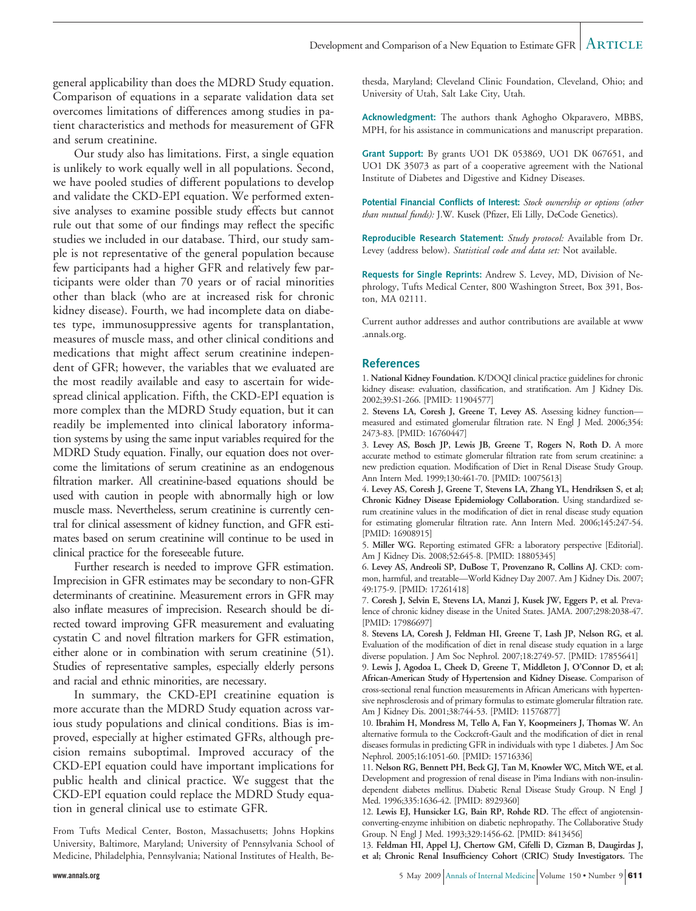general applicability than does the MDRD Study equation. Comparison of equations in a separate validation data set overcomes limitations of differences among studies in patient characteristics and methods for measurement of GFR and serum creatinine.

Our study also has limitations. First, a single equation is unlikely to work equally well in all populations. Second, we have pooled studies of different populations to develop and validate the CKD-EPI equation. We performed extensive analyses to examine possible study effects but cannot rule out that some of our findings may reflect the specific studies we included in our database. Third, our study sample is not representative of the general population because few participants had a higher GFR and relatively few participants were older than 70 years or of racial minorities other than black (who are at increased risk for chronic kidney disease). Fourth, we had incomplete data on diabetes type, immunosuppressive agents for transplantation, measures of muscle mass, and other clinical conditions and medications that might affect serum creatinine independent of GFR; however, the variables that we evaluated are the most readily available and easy to ascertain for widespread clinical application. Fifth, the CKD-EPI equation is more complex than the MDRD Study equation, but it can readily be implemented into clinical laboratory information systems by using the same input variables required for the MDRD Study equation. Finally, our equation does not overcome the limitations of serum creatinine as an endogenous filtration marker. All creatinine-based equations should be used with caution in people with abnormally high or low muscle mass. Nevertheless, serum creatinine is currently central for clinical assessment of kidney function, and GFR estimates based on serum creatinine will continue to be used in clinical practice for the foreseeable future.

Further research is needed to improve GFR estimation. Imprecision in GFR estimates may be secondary to non-GFR determinants of creatinine. Measurement errors in GFR may also inflate measures of imprecision. Research should be directed toward improving GFR measurement and evaluating cystatin C and novel filtration markers for GFR estimation, either alone or in combination with serum creatinine (51). Studies of representative samples, especially elderly persons and racial and ethnic minorities, are necessary.

In summary, the CKD-EPI creatinine equation is more accurate than the MDRD Study equation across various study populations and clinical conditions. Bias is improved, especially at higher estimated GFRs, although precision remains suboptimal. Improved accuracy of the CKD-EPI equation could have important implications for public health and clinical practice. We suggest that the CKD-EPI equation could replace the MDRD Study equation in general clinical use to estimate GFR.

From Tufts Medical Center, Boston, Massachusetts; Johns Hopkins University, Baltimore, Maryland; University of Pennsylvania School of Medicine, Philadelphia, Pennsylvania; National Institutes of Health, Bethesda, Maryland; Cleveland Clinic Foundation, Cleveland, Ohio; and University of Utah, Salt Lake City, Utah.

**Acknowledgment:** The authors thank Aghogho Okparavero, MBBS, MPH, for his assistance in communications and manuscript preparation.

**Grant Support:** By grants UO1 DK 053869, UO1 DK 067651, and UO1 DK 35073 as part of a cooperative agreement with the National Institute of Diabetes and Digestive and Kidney Diseases.

**Potential Financial Conflicts of Interest:** *Stock ownership or options (other than mutual funds):* J.W. Kusek (Pfizer, Eli Lilly, DeCode Genetics).

**Reproducible Research Statement:** *Study protocol:* Available from Dr. Levey (address below). *Statistical code and data set:* Not available.

**Requests for Single Reprints:** Andrew S. Levey, MD, Division of Nephrology, Tufts Medical Center, 800 Washington Street, Box 391, Boston, MA 02111.

Current author addresses and author contributions are available at www .annals.org.

#### **References**

1. **National Kidney Foundation.** K/DOQI clinical practice guidelines for chronic kidney disease: evaluation, classification, and stratification. Am J Kidney Dis. 2002;39:S1-266. [PMID: 11904577]

2. **Stevens LA, Coresh J, Greene T, Levey AS.** Assessing kidney function measured and estimated glomerular filtration rate. N Engl J Med. 2006;354: 2473-83. [PMID: 16760447]

3. **Levey AS, Bosch JP, Lewis JB, Greene T, Rogers N, Roth D.** A more accurate method to estimate glomerular filtration rate from serum creatinine: a new prediction equation. Modification of Diet in Renal Disease Study Group. Ann Intern Med. 1999;130:461-70. [PMID: 10075613]

4. **Levey AS, Coresh J, Greene T, Stevens LA, Zhang YL, Hendriksen S, et al; Chronic Kidney Disease Epidemiology Collaboration.** Using standardized serum creatinine values in the modification of diet in renal disease study equation for estimating glomerular filtration rate. Ann Intern Med. 2006;145:247-54. [PMID: 16908915]

5. **Miller WG.** Reporting estimated GFR: a laboratory perspective [Editorial]. Am J Kidney Dis. 2008;52:645-8. [PMID: 18805345]

6. **Levey AS, Andreoli SP, DuBose T, Provenzano R, Collins AJ.** CKD: common, harmful, and treatable—World Kidney Day 2007. Am J Kidney Dis. 2007; 49:175-9. [PMID: 17261418]

7. **Coresh J, Selvin E, Stevens LA, Manzi J, Kusek JW, Eggers P, et al.** Prevalence of chronic kidney disease in the United States. JAMA. 2007;298:2038-47. [PMID: 17986697]

8. **Stevens LA, Coresh J, Feldman HI, Greene T, Lash JP, Nelson RG, et al.** Evaluation of the modification of diet in renal disease study equation in a large diverse population. J Am Soc Nephrol. 2007;18:2749-57. [PMID: 17855641]

9. **Lewis J, Agodoa L, Cheek D, Greene T, Middleton J, O'Connor D, et al; African-American Study of Hypertension and Kidney Disease.** Comparison of cross-sectional renal function measurements in African Americans with hypertensive nephrosclerosis and of primary formulas to estimate glomerular filtration rate. Am J Kidney Dis. 2001;38:744-53. [PMID: 11576877]

10. **Ibrahim H, Mondress M, Tello A, Fan Y, Koopmeiners J, Thomas W.** An alternative formula to the Cockcroft-Gault and the modification of diet in renal diseases formulas in predicting GFR in individuals with type 1 diabetes. J Am Soc Nephrol. 2005;16:1051-60. [PMID: 15716336]

11. **Nelson RG, Bennett PH, Beck GJ, Tan M, Knowler WC, Mitch WE, et al.** Development and progression of renal disease in Pima Indians with non-insulindependent diabetes mellitus. Diabetic Renal Disease Study Group. N Engl J Med. 1996;335:1636-42. [PMID: 8929360]

12. **Lewis EJ, Hunsicker LG, Bain RP, Rohde RD.** The effect of angiotensinconverting-enzyme inhibition on diabetic nephropathy. The Collaborative Study Group. N Engl J Med. 1993;329:1456-62. [PMID: 8413456]

13. **Feldman HI, Appel LJ, Chertow GM, Cifelli D, Cizman B, Daugirdas J, et al; Chronic Renal Insufficiency Cohort (CRIC) Study Investigators.** The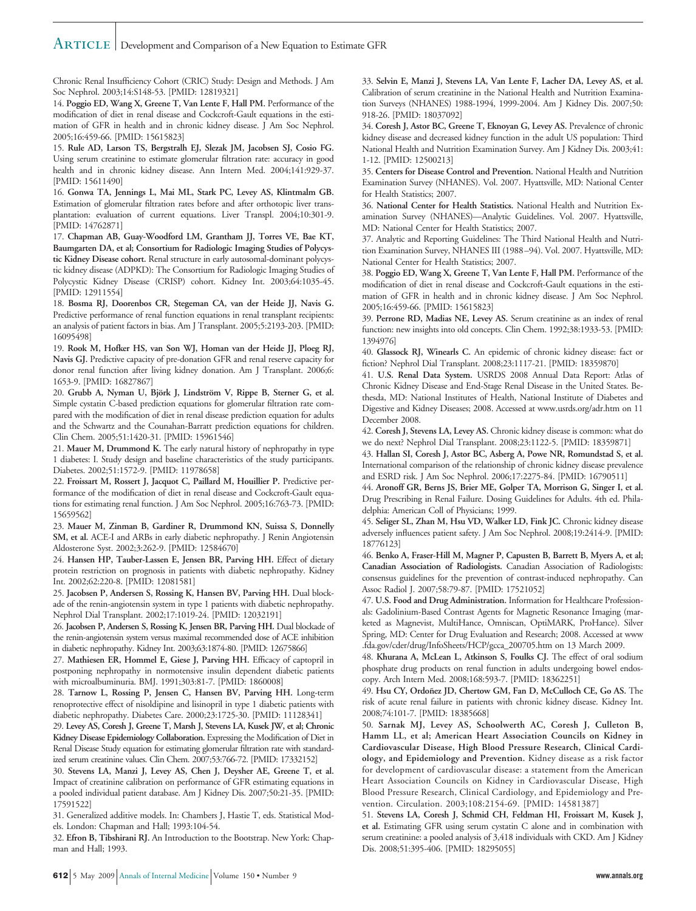### Article Development and Comparison of a New Equation to Estimate GFR

Chronic Renal Insufficiency Cohort (CRIC) Study: Design and Methods. J Am Soc Nephrol. 2003;14:S148-53. [PMID: 12819321]

14. **Poggio ED, Wang X, Greene T, Van Lente F, Hall PM.** Performance of the modification of diet in renal disease and Cockcroft-Gault equations in the estimation of GFR in health and in chronic kidney disease. J Am Soc Nephrol. 2005;16:459-66. [PMID: 15615823]

15. **Rule AD, Larson TS, Bergstralh EJ, Slezak JM, Jacobsen SJ, Cosio FG.** Using serum creatinine to estimate glomerular filtration rate: accuracy in good health and in chronic kidney disease. Ann Intern Med. 2004;141:929-37. [PMID: 15611490]

16. **Gonwa TA, Jennings L, Mai ML, Stark PC, Levey AS, Klintmalm GB.** Estimation of glomerular filtration rates before and after orthotopic liver transplantation: evaluation of current equations. Liver Transpl. 2004;10:301-9. [PMID: 14762871]

17. **Chapman AB, Guay-Woodford LM, Grantham JJ, Torres VE, Bae KT, Baumgarten DA, et al; Consortium for Radiologic Imaging Studies of Polycystic Kidney Disease cohort.** Renal structure in early autosomal-dominant polycystic kidney disease (ADPKD): The Consortium for Radiologic Imaging Studies of Polycystic Kidney Disease (CRISP) cohort. Kidney Int. 2003;64:1035-45. [PMID: 12911554]

18. **Bosma RJ, Doorenbos CR, Stegeman CA, van der Heide JJ, Navis G.** Predictive performance of renal function equations in renal transplant recipients: an analysis of patient factors in bias. Am J Transplant. 2005;5:2193-203. [PMID: 16095498]

19. **Rook M, Hofker HS, van Son WJ, Homan van der Heide JJ, Ploeg RJ, Navis GJ.** Predictive capacity of pre-donation GFR and renal reserve capacity for donor renal function after living kidney donation. Am J Transplant. 2006;6: 1653-9. [PMID: 16827867]

20. Grubb A, Nyman U, Björk J, Lindström V, Rippe B, Sterner G, et al. Simple cystatin C-based prediction equations for glomerular filtration rate compared with the modification of diet in renal disease prediction equation for adults and the Schwartz and the Counahan-Barratt prediction equations for children. Clin Chem. 2005;51:1420-31. [PMID: 15961546]

21. **Mauer M, Drummond K.** The early natural history of nephropathy in type 1 diabetes: I. Study design and baseline characteristics of the study participants. Diabetes. 2002;51:1572-9. [PMID: 11978658]

22. **Froissart M, Rossert J, Jacquot C, Paillard M, Houillier P.** Predictive performance of the modification of diet in renal disease and Cockcroft-Gault equations for estimating renal function. J Am Soc Nephrol. 2005;16:763-73. [PMID: 15659562]

23. **Mauer M, Zinman B, Gardiner R, Drummond KN, Suissa S, Donnelly SM, et al.** ACE-I and ARBs in early diabetic nephropathy. J Renin Angiotensin Aldosterone Syst. 2002;3:262-9. [PMID: 12584670]

24. **Hansen HP, Tauber-Lassen E, Jensen BR, Parving HH.** Effect of dietary protein restriction on prognosis in patients with diabetic nephropathy. Kidney Int. 2002;62:220-8. [PMID: 12081581]

25. **Jacobsen P, Andersen S, Rossing K, Hansen BV, Parving HH.** Dual blockade of the renin-angiotensin system in type 1 patients with diabetic nephropathy. Nephrol Dial Transplant. 2002;17:1019-24. [PMID: 12032191]

26. **Jacobsen P, Andersen S, Rossing K, Jensen BR, Parving HH.** Dual blockade of the renin-angiotensin system versus maximal recommended dose of ACE inhibition in diabetic nephropathy. Kidney Int. 2003;63:1874-80. [PMID: 12675866]

27. **Mathiesen ER, Hommel E, Giese J, Parving HH.** Efficacy of captopril in postponing nephropathy in normotensive insulin dependent diabetic patients with microalbuminuria. BMJ. 1991;303:81-7. [PMID: 1860008]

28. **Tarnow L, Rossing P, Jensen C, Hansen BV, Parving HH.** Long-term renoprotective effect of nisoldipine and lisinopril in type 1 diabetic patients with diabetic nephropathy. Diabetes Care. 2000;23:1725-30. [PMID: 11128341]

29. **Levey AS, Coresh J, Greene T, Marsh J, Stevens LA, Kusek JW, et al; Chronic Kidney Disease Epidemiology Collaboration.** Expressing the Modification of Diet in Renal Disease Study equation for estimating glomerular filtration rate with standardized serum creatinine values. Clin Chem. 2007;53:766-72. [PMID: 17332152]

30. **Stevens LA, Manzi J, Levey AS, Chen J, Deysher AE, Greene T, et al.** Impact of creatinine calibration on performance of GFR estimating equations in a pooled individual patient database. Am J Kidney Dis. 2007;50:21-35. [PMID: 17591522]

31. Generalized additive models. In: Chambers J, Hastie T, eds. Statistical Models. London: Chapman and Hall; 1993:104-54.

32. **Efron B, Tibshirani RJ.** An Introduction to the Bootstrap. New York: Chapman and Hall; 1993.

33. **Selvin E, Manzi J, Stevens LA, Van Lente F, Lacher DA, Levey AS, et al.** Calibration of serum creatinine in the National Health and Nutrition Examination Surveys (NHANES) 1988-1994, 1999-2004. Am J Kidney Dis. 2007;50: 918-26. [PMID: 18037092]

34. **Coresh J, Astor BC, Greene T, Eknoyan G, Levey AS.** Prevalence of chronic kidney disease and decreased kidney function in the adult US population: Third National Health and Nutrition Examination Survey. Am J Kidney Dis. 2003;41: 1-12. [PMID: 12500213]

35. **Centers for Disease Control and Prevention.** National Health and Nutrition Examination Survey (NHANES). Vol. 2007. Hyattsville, MD: National Center for Health Statistics; 2007.

36. **National Center for Health Statistics.** National Health and Nutrition Examination Survey (NHANES)—Analytic Guidelines. Vol. 2007. Hyattsville, MD: National Center for Health Statistics; 2007.

37. Analytic and Reporting Guidelines: The Third National Health and Nutrition Examination Survey, NHANES III (1988 –94). Vol. 2007. Hyattsville, MD: National Center for Health Statistics; 2007.

38. **Poggio ED, Wang X, Greene T, Van Lente F, Hall PM.** Performance of the modification of diet in renal disease and Cockcroft-Gault equations in the estimation of GFR in health and in chronic kidney disease. J Am Soc Nephrol. 2005;16:459-66. [PMID: 15615823]

39. **Perrone RD, Madias NE, Levey AS.** Serum creatinine as an index of renal function: new insights into old concepts. Clin Chem. 1992;38:1933-53. [PMID: 1394976]

40. **Glassock RJ, Winearls C.** An epidemic of chronic kidney disease: fact or fiction? Nephrol Dial Transplant. 2008;23:1117-21. [PMID: 18359870]

41. **U.S. Renal Data System.** USRDS 2008 Annual Data Report: Atlas of Chronic Kidney Disease and End-Stage Renal Disease in the United States. Bethesda, MD: National Institutes of Health, National Institute of Diabetes and Digestive and Kidney Diseases; 2008. Accessed at www.usrds.org/adr.htm on 11 December 2008.

42. **Coresh J, Stevens LA, Levey AS.** Chronic kidney disease is common: what do we do next? Nephrol Dial Transplant. 2008;23:1122-5. [PMID: 18359871]

43. **Hallan SI, Coresh J, Astor BC, Asberg A, Powe NR, Romundstad S, et al.** International comparison of the relationship of chronic kidney disease prevalence and ESRD risk. J Am Soc Nephrol. 2006;17:2275-84. [PMID: 16790511]

44. **Aronoff GR, Berns JS, Brier ME, Golper TA, Morrison G, Singer I, et al.** Drug Prescribing in Renal Failure. Dosing Guidelines for Adults. 4th ed. Philadelphia: American Coll of Physicians; 1999.

45. **Seliger SL, Zhan M, Hsu VD, Walker LD, Fink JC.** Chronic kidney disease adversely influences patient safety. J Am Soc Nephrol. 2008;19:2414-9. [PMID: 18776123]

46. **Benko A, Fraser-Hill M, Magner P, Capusten B, Barrett B, Myers A, et al; Canadian Association of Radiologists.** Canadian Association of Radiologists: consensus guidelines for the prevention of contrast-induced nephropathy. Can Assoc Radiol J. 2007;58:79-87. [PMID: 17521052]

47. **U.S. Food and Drug Administration.** Information for Healthcare Professionals: Gadolinium-Based Contrast Agents for Magnetic Resonance Imaging (marketed as Magnevist, MultiHance, Omniscan, OptiMARK, ProHance). Silver Spring, MD: Center for Drug Evaluation and Research; 2008. Accessed at www .fda.gov/cder/drug/InfoSheets/HCP/gcca\_200705.htm on 13 March 2009.

48. **Khurana A, McLean L, Atkinson S, Foulks CJ.** The effect of oral sodium phosphate drug products on renal function in adults undergoing bowel endoscopy. Arch Intern Med. 2008;168:593-7. [PMID: 18362251]

49. Hsu CY, Ordoñez JD, Chertow GM, Fan D, McCulloch CE, Go AS. The risk of acute renal failure in patients with chronic kidney disease. Kidney Int. 2008;74:101-7. [PMID: 18385668]

50. **Sarnak MJ, Levey AS, Schoolwerth AC, Coresh J, Culleton B, Hamm LL, et al; American Heart Association Councils on Kidney in Cardiovascular Disease, High Blood Pressure Research, Clinical Cardiology, and Epidemiology and Prevention.** Kidney disease as a risk factor for development of cardiovascular disease: a statement from the American Heart Association Councils on Kidney in Cardiovascular Disease, High Blood Pressure Research, Clinical Cardiology, and Epidemiology and Prevention. Circulation. 2003;108:2154-69. [PMID: 14581387]

51. **Stevens LA, Coresh J, Schmid CH, Feldman HI, Froissart M, Kusek J, et al.** Estimating GFR using serum cystatin C alone and in combination with serum creatinine: a pooled analysis of 3,418 individuals with CKD. Am J Kidney Dis. 2008;51:395-406. [PMID: 18295055]